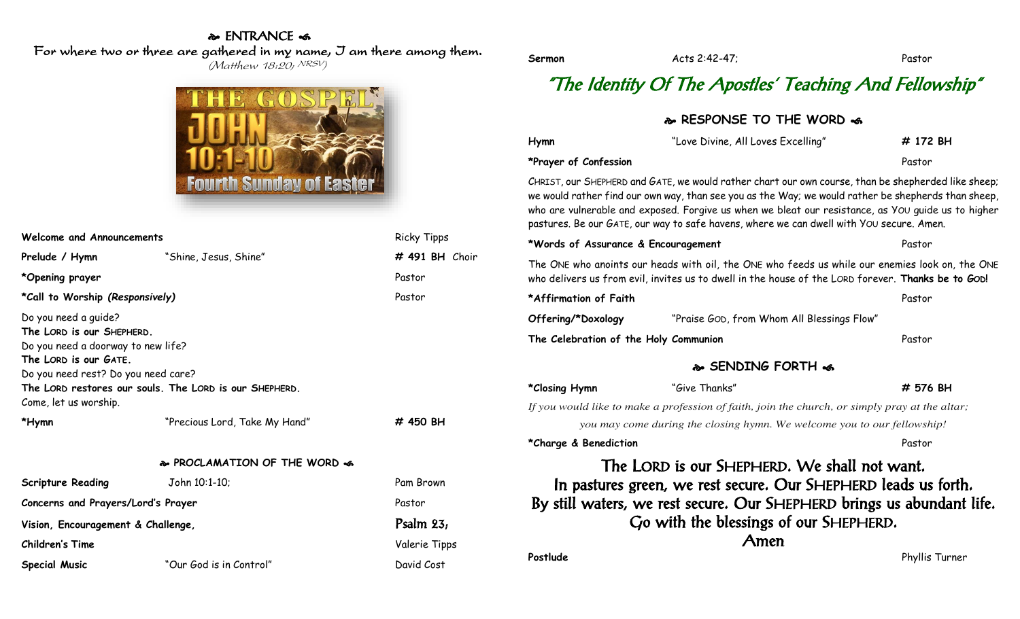#### **& ENTRANCE** For where two or three are gathered in my name, I am there among them. (Matthew 18:20; NRSV)



| Welcome and Announcements                                                                                                                                                                                                                  |                               | <b>Ricky Tipps</b> |
|--------------------------------------------------------------------------------------------------------------------------------------------------------------------------------------------------------------------------------------------|-------------------------------|--------------------|
| Prelude / Hymn                                                                                                                                                                                                                             | "Shine, Jesus, Shine"         | # 491 BH Choir     |
| *Opening prayer                                                                                                                                                                                                                            |                               | Pastor             |
| *Call to Worship (Responsively)                                                                                                                                                                                                            |                               | Pastor             |
| Do you need a guide?<br>The LORD is our SHEPHERD.<br>Do you need a doorway to new life?<br>The LORD is our GATE.<br>Do you need rest? Do you need care?<br>The LORD restores our souls. The LORD is our SHEPHERD.<br>Come, let us worship. |                               |                    |
| *Hymn                                                                                                                                                                                                                                      | "Precious Lord, Take My Hand" | # 450 BH           |
| � PROCLAMATION OF THE WORD �                                                                                                                                                                                                               |                               |                    |
| <b>Scripture Reading</b>                                                                                                                                                                                                                   | John 10:1-10;                 | Pam Brown          |
| Concerns and Prayers/Lord's Prayer                                                                                                                                                                                                         |                               | Pastor             |
| Vision, Encouragement & Challenge,                                                                                                                                                                                                         |                               | Psalm $23i$        |
| Children's Time                                                                                                                                                                                                                            |                               | Valerie Tipps      |
| <b>Special Music</b>                                                                                                                                                                                                                       | "Our God is in Control"       | David Cost         |

# **Sermon Acts 2:42-47; Pastor Pastor Pastor** "The Identity Of The Apostles' Teaching And Fellowship"

## **RESPONSE TO THE WORD**  $\approx$ **Hymn** "Love Divine, All Loves Excelling" **# 172 BH \*Prayer of Confession** Pastor CHRIST, our SHEPHERD and GATE, we would rather chart our own course, than be shepherded like sheep; we would rather find our own way, than see you as the Way; we would rather be shepherds than sheep, who are vulnerable and exposed. Forgive us when we bleat our resistance, as YOU guide us to higher pastures. Be our GATE, our way to safe havens, where we can dwell with YOU secure. Amen. **\*Words of Assurance & Encouragement** Pastor The ONE who anoints our heads with oil, the ONE who feeds us while our enemies look on, the ONE who delivers us from evil, invites us to dwell in the house of the LORD forever. **Thanks be to GOD! \*Affirmation of Faith** Pastor **Offering/\*Doxology** "Praise GOD, from Whom All Blessings Flow" **The Celebration of the Holy Communion** Pastor Pastor **SENDING FORTH \*Closing Hymn** "Give Thanks" **# 576 BH** *If you would like to make a profession of faith, join the church, or simply pray at the altar; you may come during the closing hymn. We welcome you to our fellowship!* **\*Charge & Benediction** Pastor The LORD is our SHEPHERD. We shall not want. In pastures green, we rest secure. Our SHEPHERD leads us forth. By still waters, we rest secure. Our SHEPHERD brings us abundant life.

Go with the blessings of our SHEPHERD. Amen

**Postlude** Phyllis Turner